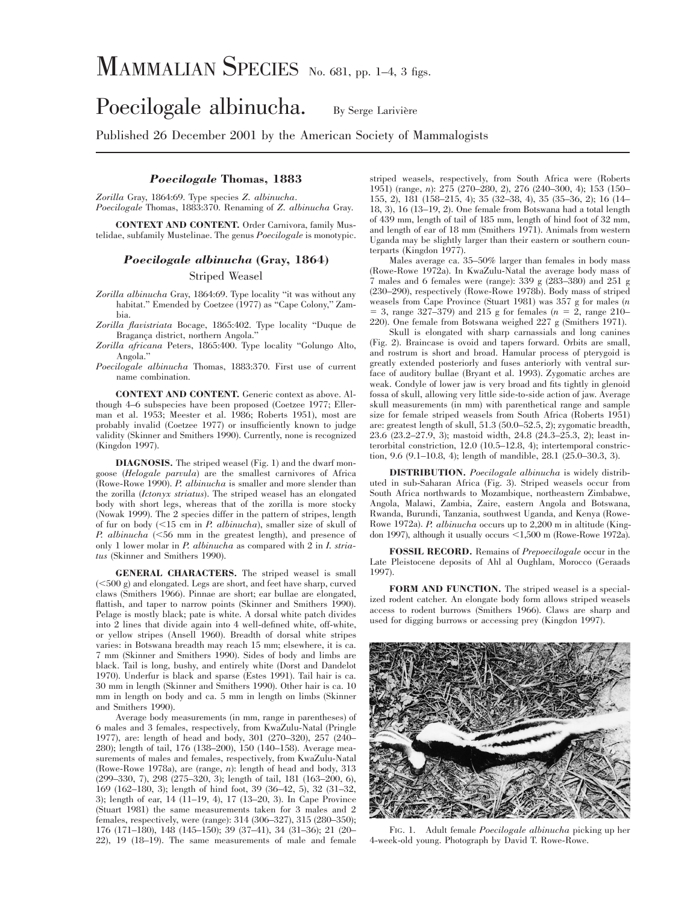# MAMMALIAN SPECIES No. 681, pp. 1–4, 3 figs.

## Poecilogale albinucha. By Serge Larivière

Published 26 December 2001 by the American Society of Mammalogists

## *Poecilogale* **Thomas, 1883**

*Zorilla* Gray, 1864:69. Type species *Z. albinucha*. *Poecilogale* Thomas, 1883:370. Renaming of *Z. albinucha* Gray.

**CONTEXT AND CONTENT.** Order Carnivora, family Mustelidae, subfamily Mustelinae. The genus *Poecilogale* is monotypic.

### *Poecilogale albinucha* **(Gray, 1864)**

Striped Weasel

*Zorilla albinucha* Gray, 1864:69. Type locality ''it was without any habitat." Emended by Coetzee (1977) as "Cape Colony," Zambia.

*Zorilla flavistriata* Bocage, 1865:402. Type locality ''Duque de Bragança district, northern Angola."

*Zorilla africana* Peters, 1865:400. Type locality ''Golungo Alto, Angola.''

*Poecilogale albinucha* Thomas, 1883:370. First use of current name combination.

**CONTEXT AND CONTENT.** Generic context as above. Although 4–6 subspecies have been proposed (Coetzee 1977; Ellerman et al. 1953; Meester et al. 1986; Roberts 1951), most are probably invalid (Coetzee 1977) or insufficiently known to judge validity (Skinner and Smithers 1990). Currently, none is recognized (Kingdon 1997).

**DIAGNOSIS.** The striped weasel (Fig. 1) and the dwarf mongoose (*Helogale parvula*) are the smallest carnivores of Africa (Rowe-Rowe 1990). *P. albinucha* is smaller and more slender than the zorilla (*Ictonyx striatus*). The striped weasel has an elongated body with short legs, whereas that of the zorilla is more stocky (Nowak 1999). The 2 species differ in the pattern of stripes, length of fur on body (,15 cm in *P. albinucha*), smaller size of skull of *P. albinucha* (<56 mm in the greatest length), and presence of only 1 lower molar in *P. albinucha* as compared with 2 in *I. striatus* (Skinner and Smithers 1990).

**GENERAL CHARACTERS.** The striped weasel is small  $(<500 g$ ) and elongated. Legs are short, and feet have sharp, curved claws (Smithers 1966). Pinnae are short; ear bullae are elongated, flattish, and taper to narrow points (Skinner and Smithers 1990). Pelage is mostly black; pate is white. A dorsal white patch divides into 2 lines that divide again into 4 well-defined white, off-white, or yellow stripes (Ansell 1960). Breadth of dorsal white stripes varies: in Botswana breadth may reach 15 mm; elsewhere, it is ca. 7 mm (Skinner and Smithers 1990). Sides of body and limbs are black. Tail is long, bushy, and entirely white (Dorst and Dandelot 1970). Underfur is black and sparse (Estes 1991). Tail hair is ca. 30 mm in length (Skinner and Smithers 1990). Other hair is ca. 10 mm in length on body and ca. 5 mm in length on limbs (Skinner and Smithers 1990).

Average body measurements (in mm, range in parentheses) of 6 males and 3 females, respectively, from KwaZulu-Natal (Pringle 1977), are: length of head and body, 301 (270–320), 257 (240– 280); length of tail, 176 (138–200), 150 (140–158). Average measurements of males and females, respectively, from KwaZulu-Natal (Rowe-Rowe 1978a), are (range, *n*): length of head and body, 313 (299–330, 7), 298 (275–320, 3); length of tail, 181 (163–200, 6), 169 (162–180, 3); length of hind foot, 39 (36–42, 5), 32 (31–32, 3); length of ear, 14 (11–19, 4), 17 (13–20, 3). In Cape Province (Stuart 1981) the same measurements taken for 3 males and 2 females, respectively, were (range): 314 (306–327), 315 (280–350); 176 (171–180), 148 (145–150); 39 (37–41), 34 (31–36); 21 (20– 22), 19 (18–19). The same measurements of male and female striped weasels, respectively, from South Africa were (Roberts 1951) (range, *n*): 275 (270–280, 2), 276 (240–300, 4); 153 (150– 155, 2), 181 (158–215, 4); 35 (32–38, 4), 35 (35–36, 2); 16 (14– 18, 3), 16 (13–19, 2). One female from Botswana had a total length of 439 mm, length of tail of 185 mm, length of hind foot of 32 mm, and length of ear of 18 mm (Smithers 1971). Animals from western Uganda may be slightly larger than their eastern or southern counterparts (Kingdon 1977).

Males average ca. 35–50% larger than females in body mass (Rowe-Rowe 1972a). In KwaZulu-Natal the average body mass of 7 males and 6 females were (range): 339 g (283–380) and 251 g (230–290), respectively (Rowe-Rowe 1978b). Body mass of striped weasels from Cape Province (Stuart 1981) was 357 g for males (*n*  $=$  3, range 327–379) and 215 g for females ( $n = 2$ , range 210– 220). One female from Botswana weighed 227 g (Smithers 1971).

Skull is elongated with sharp carnassials and long canines (Fig. 2). Braincase is ovoid and tapers forward. Orbits are small, and rostrum is short and broad. Hamular process of pterygoid is greatly extended posteriorly and fuses anteriorly with ventral surface of auditory bullae (Bryant et al. 1993). Zygomatic arches are weak. Condyle of lower jaw is very broad and fits tightly in glenoid fossa of skull, allowing very little side-to-side action of jaw. Average skull measurements (in mm) with parenthetical range and sample size for female striped weasels from South Africa (Roberts 1951) are: greatest length of skull, 51.3 (50.0–52.5, 2); zygomatic breadth, 23.6 (23.2–27.9, 3); mastoid width, 24.8 (24.3–25.3, 2); least interorbital constriction, 12.0 (10.5–12.8, 4); intertemporal constriction, 9.6 (9.1–10.8, 4); length of mandible, 28.1 (25.0–30.3, 3).

**DISTRIBUTION.** *Poecilogale albinucha* is widely distributed in sub-Saharan Africa (Fig. 3). Striped weasels occur from South Africa northwards to Mozambique, northeastern Zimbabwe, Angola, Malawi, Zambia, Zaire, eastern Angola and Botswana, Rwanda, Burundi, Tanzania, southwest Uganda, and Kenya (Rowe-Rowe 1972a). *P. albinucha* occurs up to 2,200 m in altitude (Kingdon 1997), although it usually occurs  $\leq$ 1,500 m (Rowe-Rowe 1972a).

**FOSSIL RECORD.** Remains of *Prepoecilogale* occur in the Late Pleistocene deposits of Ahl al Oughlam, Morocco (Geraads 1997).

**FORM AND FUNCTION.** The striped weasel is a specialized rodent catcher. An elongate body form allows striped weasels access to rodent burrows (Smithers 1966). Claws are sharp and used for digging burrows or accessing prey (Kingdon 1997).



FIG. 1. Adult female *Poecilogale albinucha* picking up her 4-week-old young. Photograph by David T. Rowe-Rowe.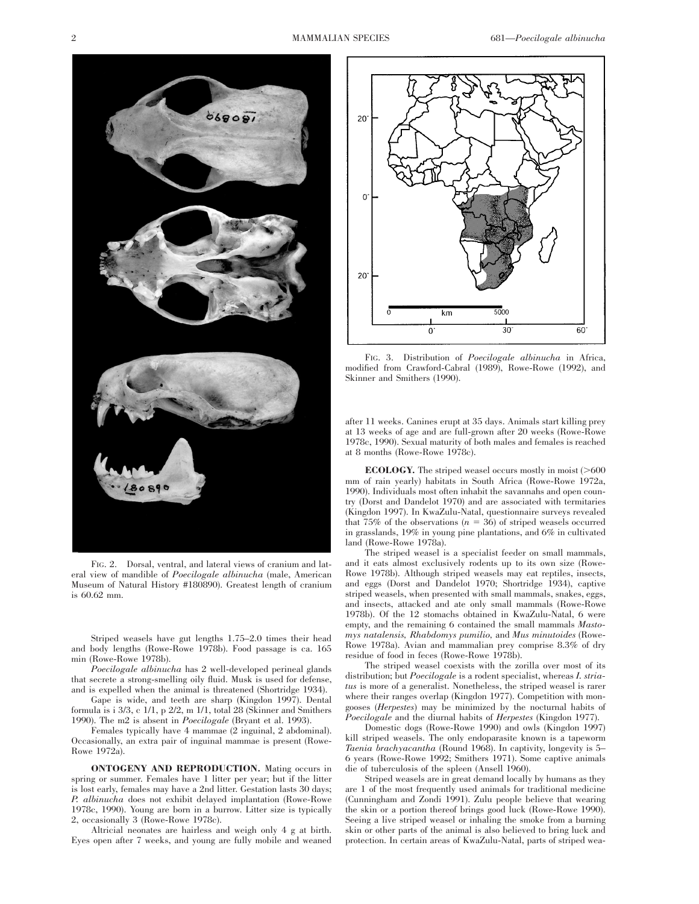

FIG. 2. Dorsal, ventral, and lateral views of cranium and lateral view of mandible of *Poecilogale albinucha* (male, American Museum of Natural History #180890). Greatest length of cranium is 60.62 mm.

Striped weasels have gut lengths 1.75–2.0 times their head and body lengths (Rowe-Rowe 1978b). Food passage is ca. 165 min (Rowe-Rowe 1978b).

*Poecilogale albinucha* has 2 well-developed perineal glands that secrete a strong-smelling oily fluid. Musk is used for defense, and is expelled when the animal is threatened (Shortridge 1934).

Gape is wide, and teeth are sharp (Kingdon 1997). Dental formula is i 3/3, c 1/1, p 2/2, m 1/1, total 28 (Skinner and Smithers 1990). The m2 is absent in *Poecilogale* (Bryant et al. 1993).

Females typically have 4 mammae (2 inguinal, 2 abdominal). Occasionally, an extra pair of inguinal mammae is present (Rowe-Rowe 1972a).

**ONTOGENY AND REPRODUCTION.** Mating occurs in spring or summer. Females have 1 litter per year; but if the litter is lost early, females may have a 2nd litter. Gestation lasts 30 days; *P. albinucha* does not exhibit delayed implantation (Rowe-Rowe 1978c, 1990). Young are born in a burrow. Litter size is typically 2, occasionally 3 (Rowe-Rowe 1978c).

Altricial neonates are hairless and weigh only 4 g at birth. Eyes open after 7 weeks, and young are fully mobile and weaned



FIG. 3. Distribution of *Poecilogale albinucha* in Africa, modified from Crawford-Cabral (1989), Rowe-Rowe (1992), and Skinner and Smithers (1990).

after 11 weeks. Canines erupt at 35 days. Animals start killing prey at 13 weeks of age and are full-grown after 20 weeks (Rowe-Rowe 1978c, 1990). Sexual maturity of both males and females is reached at 8 months (Rowe-Rowe 1978c).

**ECOLOGY.** The striped weasel occurs mostly in moist  $($  >600 mm of rain yearly) habitats in South Africa (Rowe-Rowe 1972a, 1990). Individuals most often inhabit the savannahs and open country (Dorst and Dandelot 1970) and are associated with termitaries (Kingdon 1997). In KwaZulu-Natal, questionnaire surveys revealed that  $75\%$  of the observations  $(n = 36)$  of striped weasels occurred in grasslands, 19% in young pine plantations, and 6% in cultivated land (Rowe-Rowe 1978a).

The striped weasel is a specialist feeder on small mammals, and it eats almost exclusively rodents up to its own size (Rowe-Rowe 1978b). Although striped weasels may eat reptiles, insects, and eggs (Dorst and Dandelot 1970; Shortridge 1934), captive striped weasels, when presented with small mammals, snakes, eggs, and insects, attacked and ate only small mammals (Rowe-Rowe 1978b). Of the 12 stomachs obtained in KwaZulu-Natal, 6 were empty, and the remaining 6 contained the small mammals *Mastomys natalensis, Rhabdomys pumilio,* and *Mus minutoides* (Rowe-Rowe 1978a). Avian and mammalian prey comprise 8.3% of dry residue of food in feces (Rowe-Rowe 1978b).

The striped weasel coexists with the zorilla over most of its distribution; but *Poecilogale* is a rodent specialist, whereas *I. striatus* is more of a generalist. Nonetheless, the striped weasel is rarer where their ranges overlap (Kingdon 1977). Competition with mongooses (*Herpestes*) may be minimized by the nocturnal habits of *Poecilogale* and the diurnal habits of *Herpestes* (Kingdon 1977).

Domestic dogs (Rowe-Rowe 1990) and owls (Kingdon 1997) kill striped weasels. The only endoparasite known is a tapeworm *Taenia brachyacantha* (Round 1968). In captivity, longevity is 5– 6 years (Rowe-Rowe 1992; Smithers 1971). Some captive animals die of tuberculosis of the spleen (Ansell 1960).

Striped weasels are in great demand locally by humans as they are 1 of the most frequently used animals for traditional medicine (Cunningham and Zondi 1991). Zulu people believe that wearing the skin or a portion thereof brings good luck (Rowe-Rowe 1990). Seeing a live striped weasel or inhaling the smoke from a burning skin or other parts of the animal is also believed to bring luck and protection. In certain areas of KwaZulu-Natal, parts of striped wea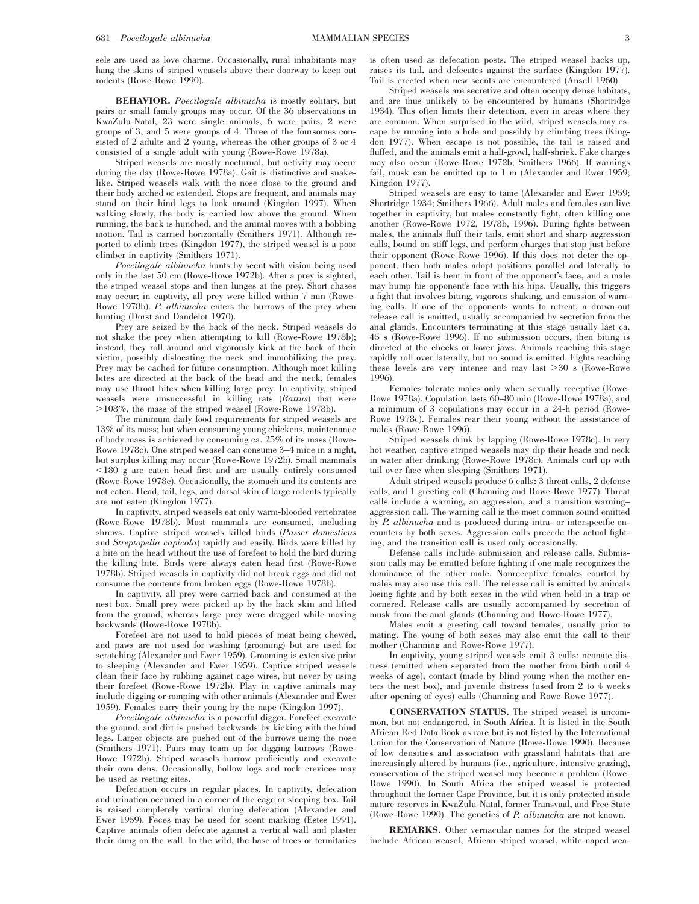sels are used as love charms. Occasionally, rural inhabitants may hang the skins of striped weasels above their doorway to keep out rodents (Rowe-Rowe 1990).

**BEHAVIOR.** *Poecilogale albinucha* is mostly solitary, but pairs or small family groups may occur. Of the 36 observations in KwaZulu-Natal, 23 were single animals, 6 were pairs, 2 were groups of 3, and 5 were groups of 4. Three of the foursomes consisted of 2 adults and 2 young, whereas the other groups of 3 or 4 consisted of a single adult with young (Rowe-Rowe 1978a).

Striped weasels are mostly nocturnal, but activity may occur during the day (Rowe-Rowe 1978a). Gait is distinctive and snakelike. Striped weasels walk with the nose close to the ground and their body arched or extended. Stops are frequent, and animals may stand on their hind legs to look around (Kingdon 1997). When walking slowly, the body is carried low above the ground. When running, the back is hunched, and the animal moves with a bobbing motion. Tail is carried horizontally (Smithers 1971). Although reported to climb trees (Kingdon 1977), the striped weasel is a poor climber in captivity (Smithers 1971).

*Poecilogale albinucha* hunts by scent with vision being used only in the last 50 cm (Rowe-Rowe 1972b). After a prey is sighted, the striped weasel stops and then lunges at the prey. Short chases may occur; in captivity, all prey were killed within 7 min (Rowe-Rowe 1978b). *P. albinucha* enters the burrows of the prey when hunting (Dorst and Dandelot 1970).

Prey are seized by the back of the neck. Striped weasels do shake the prey when attempting to kill (Rowe-Rowe 1978b); instead, they roll around and vigorously kick at the back of their victim, possibly dislocating the neck and immobilizing the prey. Prey may be cached for future consumption. Although most killing bites are directed at the back of the head and the neck, females may use throat bites when killing large prey. In captivity, striped weasels were unsuccessful in killing rats (*Rattus*) that were .108%, the mass of the striped weasel (Rowe-Rowe 1978b).

The minimum daily food requirements for striped weasels are 13% of its mass; but when consuming young chickens, maintenance of body mass is achieved by consuming ca. 25% of its mass (Rowe-Rowe 1978c). One striped weasel can consume 3–4 mice in a night, but surplus killing may occur (Rowe-Rowe 1972b). Small mammals  $\leq$ 180 g are eaten head first and are usually entirely consumed (Rowe-Rowe 1978c). Occasionally, the stomach and its contents are not eaten. Head, tail, legs, and dorsal skin of large rodents typically are not eaten (Kingdon 1977).

In captivity, striped weasels eat only warm-blooded vertebrates (Rowe-Rowe 1978b). Most mammals are consumed, including shrews. Captive striped weasels killed birds (*Passer domesticus* and *Streptopelia capicola*) rapidly and easily. Birds were killed by a bite on the head without the use of forefeet to hold the bird during the killing bite. Birds were always eaten head first (Rowe-Rowe 1978b). Striped weasels in captivity did not break eggs and did not consume the contents from broken eggs (Rowe-Rowe 1978b).

In captivity, all prey were carried back and consumed at the nest box. Small prey were picked up by the back skin and lifted from the ground, whereas large prey were dragged while moving backwards (Rowe-Rowe 1978b).

Forefeet are not used to hold pieces of meat being chewed, and paws are not used for washing (grooming) but are used for scratching (Alexander and Ewer 1959). Grooming is extensive prior to sleeping (Alexander and Ewer 1959). Captive striped weasels clean their face by rubbing against cage wires, but never by using their forefeet (Rowe-Rowe 1972b). Play in captive animals may include digging or romping with other animals (Alexander and Ewer 1959). Females carry their young by the nape (Kingdon 1997).

*Poecilogale albinucha* is a powerful digger. Forefeet excavate the ground, and dirt is pushed backwards by kicking with the hind legs. Larger objects are pushed out of the burrows using the nose (Smithers 1971). Pairs may team up for digging burrows (Rowe-Rowe 1972b). Striped weasels burrow proficiently and excavate their own dens. Occasionally, hollow logs and rock crevices may be used as resting sites.

Defecation occurs in regular places. In captivity, defecation and urination occurred in a corner of the cage or sleeping box. Tail is raised completely vertical during defecation (Alexander and Ewer 1959). Feces may be used for scent marking (Estes 1991). Captive animals often defecate against a vertical wall and plaster their dung on the wall. In the wild, the base of trees or termitaries

is often used as defecation posts. The striped weasel backs up, raises its tail, and defecates against the surface (Kingdon 1977). Tail is erected when new scents are encountered (Ansell 1960).

Striped weasels are secretive and often occupy dense habitats, and are thus unlikely to be encountered by humans (Shortridge 1934). This often limits their detection, even in areas where they are common. When surprised in the wild, striped weasels may escape by running into a hole and possibly by climbing trees (Kingdon 1977). When escape is not possible, the tail is raised and fluffed, and the animals emit a half-growl, half-shriek. Fake charges may also occur (Rowe-Rowe 1972b; Smithers 1966). If warnings fail, musk can be emitted up to 1 m (Alexander and Ewer 1959; Kingdon 1977).

Striped weasels are easy to tame (Alexander and Ewer 1959; Shortridge 1934; Smithers 1966). Adult males and females can live together in captivity, but males constantly fight, often killing one another (Rowe-Rowe 1972, 1978b, 1996). During fights between males, the animals fluff their tails, emit short and sharp aggression calls, bound on stiff legs, and perform charges that stop just before their opponent (Rowe-Rowe 1996). If this does not deter the opponent, then both males adopt positions parallel and laterally to each other. Tail is bent in front of the opponent's face, and a male may bump his opponent's face with his hips. Usually, this triggers a fight that involves biting, vigorous shaking, and emission of warning calls. If one of the opponents wants to retreat, a drawn-out release call is emitted, usually accompanied by secretion from the anal glands. Encounters terminating at this stage usually last ca. 45 s (Rowe-Rowe 1996). If no submission occurs, then biting is directed at the cheeks or lower jaws. Animals reaching this stage rapidly roll over laterally, but no sound is emitted. Fights reaching these levels are very intense and may last  $>30$  s (Rowe-Rowe 1996).

Females tolerate males only when sexually receptive (Rowe-Rowe 1978a). Copulation lasts 60–80 min (Rowe-Rowe 1978a), and a minimum of 3 copulations may occur in a 24-h period (Rowe-Rowe 1978c). Females rear their young without the assistance of males (Rowe-Rowe 1996).

Striped weasels drink by lapping (Rowe-Rowe 1978c). In very hot weather, captive striped weasels may dip their heads and neck in water after drinking (Rowe-Rowe 1978c). Animals curl up with tail over face when sleeping (Smithers 1971).

Adult striped weasels produce 6 calls: 3 threat calls, 2 defense calls, and 1 greeting call (Channing and Rowe-Rowe 1977). Threat calls include a warning, an aggression, and a transition warning– aggression call. The warning call is the most common sound emitted by *P. albinucha* and is produced during intra- or interspecific encounters by both sexes. Aggression calls precede the actual fighting, and the transition call is used only occasionally.

Defense calls include submission and release calls. Submission calls may be emitted before fighting if one male recognizes the dominance of the other male. Nonreceptive females courted by males may also use this call. The release call is emitted by animals losing fights and by both sexes in the wild when held in a trap or cornered. Release calls are usually accompanied by secretion of musk from the anal glands (Channing and Rowe-Rowe 1977).

Males emit a greeting call toward females, usually prior to mating. The young of both sexes may also emit this call to their mother (Channing and Rowe-Rowe 1977).

In captivity, young striped weasels emit 3 calls: neonate distress (emitted when separated from the mother from birth until 4 weeks of age), contact (made by blind young when the mother enters the nest box), and juvenile distress (used from 2 to 4 weeks after opening of eyes) calls (Channing and Rowe-Rowe 1977).

**CONSERVATION STATUS.** The striped weasel is uncommon, but not endangered, in South Africa. It is listed in the South African Red Data Book as rare but is not listed by the International Union for the Conservation of Nature (Rowe-Rowe 1990). Because of low densities and association with grassland habitats that are increasingly altered by humans (i.e., agriculture, intensive grazing), conservation of the striped weasel may become a problem (Rowe-Rowe 1990). In South Africa the striped weasel is protected throughout the former Cape Province, but it is only protected inside nature reserves in KwaZulu-Natal, former Transvaal, and Free State (Rowe-Rowe 1990). The genetics of *P. albinucha* are not known.

**REMARKS.** Other vernacular names for the striped weasel include African weasel, African striped weasel, white-naped wea